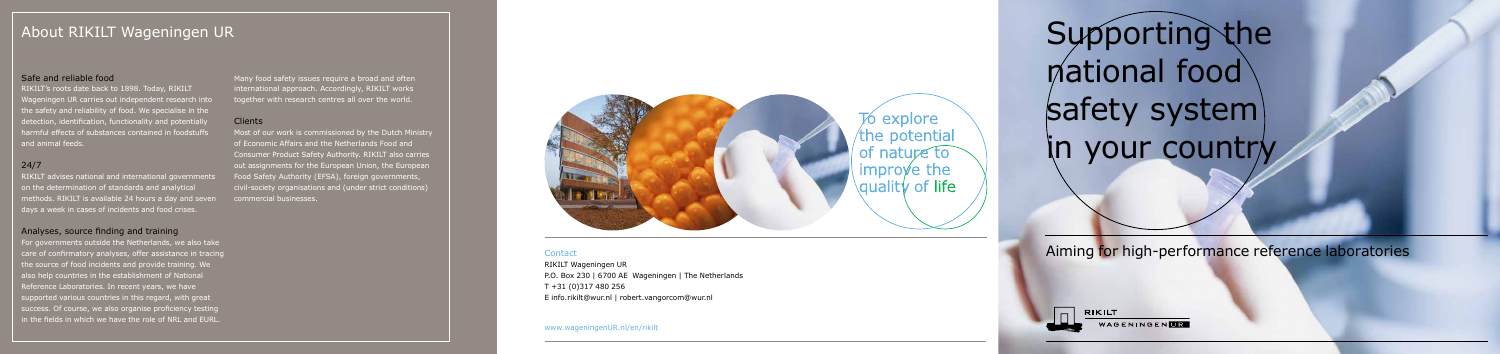Contact Aiming for high-performance reference laboratories

RIKILT WAGENINGENLE

RIKILT Wageningen UR P.O. Box 230 | 6700 AE Wageningen | The Netherlands T +31 (0)317 480 256 E info.rikilt@wur.nl | robert.vangorcom@wur.nl

www.wageningenUR.nl/en/rikilt

# Safe and reliable food

RIKILT's roots date back to 1898. Today, RIKILT Wageningen UR carries out independent research into the safety and reliability of food. We specialise in the detection, identification, functionality and potentially harmful effects of substances contained in foodstuffs and animal feeds.

# 24/7

RIKILT advises national and international governments on the determination of standards and analytical methods. RIKILT is available 24 hours a day and seven days a week in cases of incidents and food crises.

# Analyses, source finding and training

About RIKILT Wageningen UR Supporting the national food safety system) in your country

For governments outside the Netherlands, we also take care of confirmatory analyses, offer assistance in tracing the source of food incidents and provide training. We also help countries in the establishment of National Reference Laboratories. In recent years, we have supported various countries in this regard, with great success. Of course, we also organise proficiency testing in the fields in which we have the role of NRL and EURL.

Many food safety issues require a broad and often international approach. Accordingly, RIKILT works together with research centres all over the world.

### Clients

Most of our work is commissioned by the Dutch Ministry of Economic Affairs and the Netherlands Food and Consumer Product Safety Authority. RIKILT also carries out assignments for the European Union, the European Food Safety Authority (EFSA), foreign governments, civil-society organisations and (under strict conditions) commercial businesses.